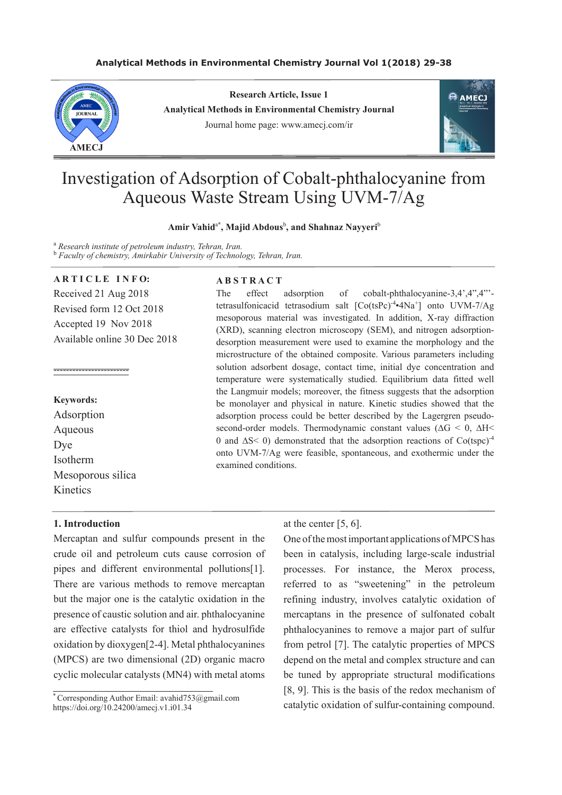## **Analytical Methods in Environmental Chemistry Journal Vol 1(2018) 29-38**



**Research Article, Issue 1 Analytical Methods in Environmental Chemistry Journal** Journal home page: www.amecj.com/ir



# Investigation of Adsorption of Cobalt-phthalocyanine from Aqueous Waste Stream Using UVM-7/Ag

## **Amir Vahid**a\* **, Majid Abdous**<sup>b</sup> **, and Shahnaz Nayyeri**<sup>b</sup>

<sup>a</sup> Research institute of petroleum industry, Tehran, Iran. b  *Faculty of chemistry, Amirkabir University of Technology, Tehran, Iran.*

## **ARTICLE INFO:**

Received 21 Aug 2018 Revised form 12 Oct 2018 Accepted 19 Nov 2018 Available online 30 Dec 2018

#### **Keywords:**

Adsorption Aqueous Dye Isotherm Mesoporous silica **Kinetics** 

------------------------

## **A B S T R A C T**

The effect adsorption of cobalt-phthalocyanine-3,4',4",4"'tetrasulfonicacid tetrasodium salt [Co(tsPc)<sup>-4</sup>•4Na<sup>+</sup>] onto UVM-7/Ag mesoporous material was investigated. In addition, X-ray diffraction (XRD), scanning electron microscopy (SEM), and nitrogen adsorptiondesorption measurement were used to examine the morphology and the microstructure of the obtained composite. Various parameters including solution adsorbent dosage, contact time, initial dye concentration and temperature were systematically studied. Equilibrium data fitted well the Langmuir models; moreover, the fitness suggests that the adsorption be monolayer and physical in nature. Kinetic studies showed that the adsorption process could be better described by the Lagergren pseudosecond-order models. Thermodynamic constant values ( $\Delta G$  < 0,  $\Delta H$  < 0 and ∆S< 0) demonstrated that the adsorption reactions of Co(tspc)-4 onto UVM-7/Ag were feasible, spontaneous, and exothermic under the examined conditions.

## **1. Introduction**

Mercaptan and sulfur compounds present in the crude oil and petroleum cuts cause corrosion of pipes and different environmental pollutions[1]. There are various methods to remove mercaptan but the major one is the catalytic oxidation in the presence of caustic solution and air. phthalocyanine are effective catalysts for thiol and hydrosulfide oxidation by dioxygen[2-4]. Metal phthalocyanines (MPCS) are two dimensional (2D) organic macro cyclic molecular catalysts (MN4) with metal atoms

at the center [5, 6].

One of the most important applications of MPCS has been in catalysis, including large-scale industrial processes. For instance, the Merox process, referred to as "sweetening" in the petroleum refining industry, involves catalytic oxidation of mercaptans in the presence of sulfonated cobalt phthalocyanines to remove a major part of sulfur from petrol [7]. The catalytic properties of MPCS depend on the metal and complex structure and can be tuned by appropriate structural modifications [8, 9]. This is the basis of the redox mechanism of catalytic oxidation of sulfur-containing compound.

<sup>\*</sup>Corresponding Author Email: avahid $753@$ gmail.com https://doi.org/10.24200/amecj.v1.i01.34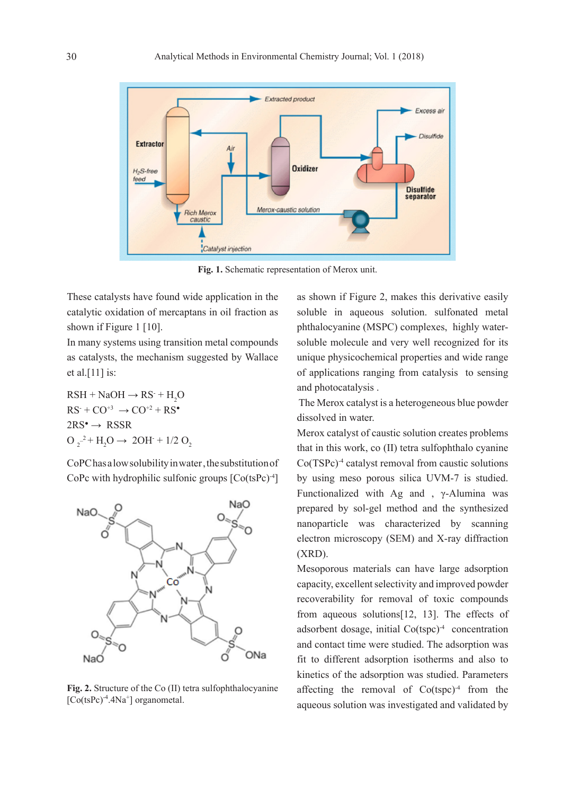

**Fig. 1.** Schematic representation of Merox unit.

These catalysts have found wide application in the catalytic oxidation of mercaptans in oil fraction as shown if Figure 1 [10].

In many systems using transition metal compounds as catalysts, the mechanism suggested by Wallace et al.[11] is:

 $RSH + NaOH \rightarrow RS^- + H_2O$  $RS^+ + CO^{+3} \rightarrow CO^{+2} + RS^{\bullet}$  $2RS^{\bullet} \rightarrow RSSR$  $O_2^{-2} + H_2O \rightarrow 2OH + 1/2 O_2$ 

CoPC has a low solubility in water, the substitution of CoPc with hydrophilic sulfonic groups [Co(tsPc)-4 ]



**Fig. 2.** Structure of the Co (II) tetra sulfophthalocyanine  $[Co(tsPc)<sup>-4</sup>.4Na<sup>+</sup>]$  organometal.

as shown if Figure 2, makes this derivative easily soluble in aqueous solution. sulfonated metal phthalocyanine (MSPC) complexes, highly watersoluble molecule and very well recognized for its unique physicochemical properties and wide range of applications ranging from catalysis to sensing and photocatalysis .

 The Merox catalyst is a heterogeneous blue powder dissolved in water.

Merox catalyst of caustic solution creates problems that in this work, co (II) tetra sulfophthalo cyanine Co(TSPc)-4 catalyst removal from caustic solutions by using meso porous silica UVM-7 is studied. Functionalized with Ag and , γ-Alumina was prepared by sol-gel method and the synthesized nanoparticle was characterized by scanning electron microscopy (SEM) and X-ray diffraction (XRD).

Mesoporous materials can have large adsorption capacity, excellent selectivity and improved powder recoverability for removal of toxic compounds from aqueous solutions[12, 13]. The effects of adsorbent dosage, initial  $\text{Co}(\text{tspc})^4$  concentration and contact time were studied. The adsorption was fit to different adsorption isotherms and also to kinetics of the adsorption was studied. Parameters affecting the removal of  $Co(tspc)^{-4}$  from the aqueous solution was investigated and validated by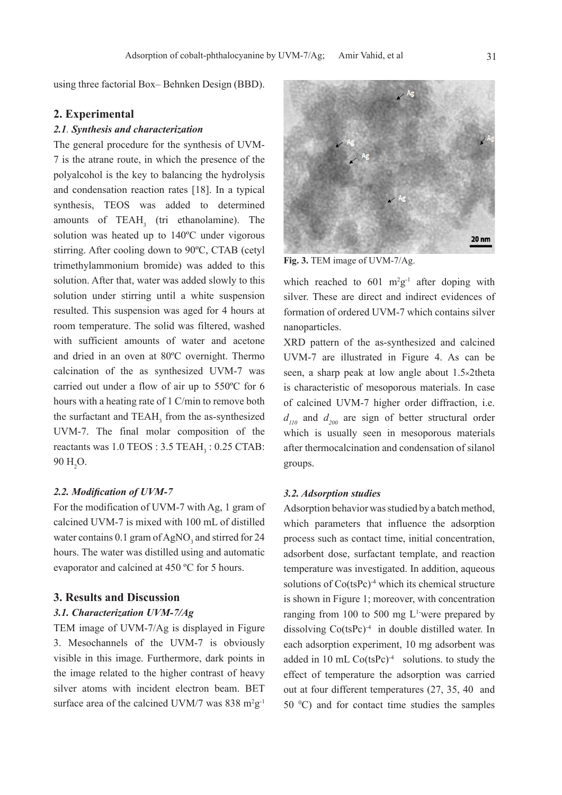using three factorial Box– Behnken Design (BBD).

## **2. Experimental**

## *2.1. Synthesis and characterization*

The general procedure for the synthesis of UVM-7 is the atrane route, in which the presence of the polyalcohol is the key to balancing the hydrolysis and condensation reaction rates [18]. In a typical synthesis, TEOS was added to determined amounts of  $TEAH_3$  (tri ethanolamine). The solution was heated up to 140ºC under vigorous stirring. After cooling down to 90ºC, CTAB (cetyl trimethylammonium bromide) was added to this solution. After that, water was added slowly to this solution under stirring until a white suspension resulted. This suspension was aged for 4 hours at room temperature. The solid was filtered, washed with sufficient amounts of water and acetone and dried in an oven at 80ºC overnight. Thermo calcination of the as synthesized UVM-7 was carried out under a flow of air up to 550ºC for 6 hours with a heating rate of 1 C/min to remove both the surfactant and  $TEAH_3$  from the as-synthesized UVM-7. The final molar composition of the reactants was  $1.0 \text{ TEOS}: 3.5 \text{ TEAH}_3: 0.25 \text{ CTAB}:$  $90 \text{ H}_{2}\text{O}$ .

#### *2.2. Modification of UVM-7*

For the modification of UVM-7 with Ag, 1 gram of calcined UVM-7 is mixed with 100 mL of distilled water contains  $0.1$  gram of AgNO<sub>3</sub> and stirred for 24 hours. The water was distilled using and automatic evaporator and calcined at 450 ºC for 5 hours.

## **3. Results and Discussion**

#### *3.1. Characterization UVM-7/Ag*

TEM image of UVM-7/Ag is displayed in Figure 3. Mesochannels of the UVM-7 is obviously visible in this image. Furthermore, dark points in the image related to the higher contrast of heavy silver atoms with incident electron beam. BET surface area of the calcined UVM/7 was  $838 \text{ m}^2\text{g}^{-1}$ 



**Fig. 3.** TEM image of UVM-7/Ag.

which reached to  $601 \text{ m}^2\text{g}^{-1}$  after doping with silver. These are direct and indirect evidences of formation of ordered UVM-7 which contains silver nanoparticles.

XRD pattern of the as-synthesized and calcined UVM-7 are illustrated in Figure 4. As can be seen, a sharp peak at low angle about 1.5×2theta is characteristic of mesoporous materials. In case of calcined UVM-7 higher order diffraction, i.e.  $d_{110}$  and  $d_{200}$  are sign of better structural order which is usually seen in mesoporous materials after thermocalcination and condensation of silanol groups.

## *3.2. Adsorption studies*

Adsorption behavior was studied by a batch method, which parameters that influence the adsorption process such as contact time, initial concentration, adsorbent dose, surfactant template, and reaction temperature was investigated. In addition, aqueous solutions of Co(tsPc)<sup>-4</sup> which its chemical structure is shown in Figure 1; moreover, with concentration ranging from 100 to 500 mg  $L^1$  were prepared by dissolving  $Co(tsPc)<sup>-4</sup>$  in double distilled water. In each adsorption experiment, 10 mg adsorbent was added in 10 mL  $Co(tsPc)<sup>-4</sup>$  solutions. to study the effect of temperature the adsorption was carried out at four different temperatures (27, 35, 40 and  $50\text{ °C}$  and for contact time studies the samples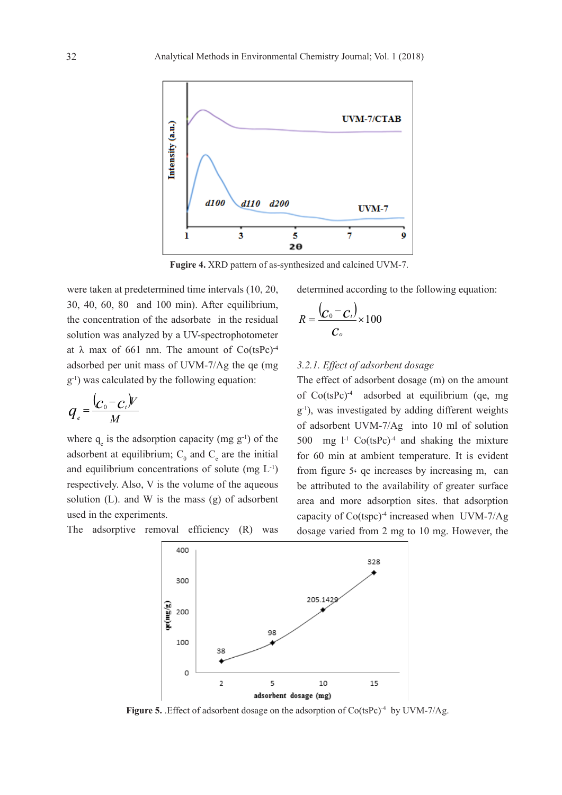

**Fugire 4.** XRD pattern of as-synthesized and calcined UVM-7.

were taken at predetermined time intervals (10, 20, 30, 40, 60, 80 and 100 min). After equilibrium, the concentration of the adsorbate in the residual solution was analyzed by a UV-spectrophotometer at  $\lambda$  max of 661 nm. The amount of Co(tsPc)<sup>-4</sup> adsorbed per unit mass of UVM-7/Ag the qe (mg g-1 ) was calculated by the following equation:

$$
q_e = \frac{(c_0 - c_t)V}{M}
$$

where  $q_e$  is the adsorption capacity (mg  $g^{-1}$ ) of the adsorbent at equilibrium;  $C_0$  and  $C_e$  are the initial and equilibrium concentrations of solute (mg  $L^{-1}$ ) respectively. Also, V is the volume of the aqueous solution (L). and W is the mass (g) of adsorbent used in the experiments.

The adsorptive removal efficiency (R) was

determined according to the following equation:

$$
R=\frac{\left(C_{0}-C_{t}\right)}{C_{o}}\times100
$$

## *3.2.1. Effect of adsorbent dosage*

The effect of adsorbent dosage (m) on the amount of Co(tsPc)-4 adsorbed at equilibrium (qe, mg g-1 ), was investigated by adding different weights of adsorbent UVM-7/Ag into 10 ml of solution 500 mg  $l<sup>-1</sup> Co(tsPc)<sup>-4</sup>$  and shaking the mixture for 60 min at ambient temperature. It is evident from figure 5، qe increases by increasing m, can be attributed to the availability of greater surface area and more adsorption sites. that adsorption capacity of Co(tspc)-4 increased when UVM-7/Ag dosage varied from 2 mg to 10 mg. However, the



Figure 5. Effect of adsorbent dosage on the adsorption of Co(tsPc)<sup>-4</sup> by UVM-7/Ag.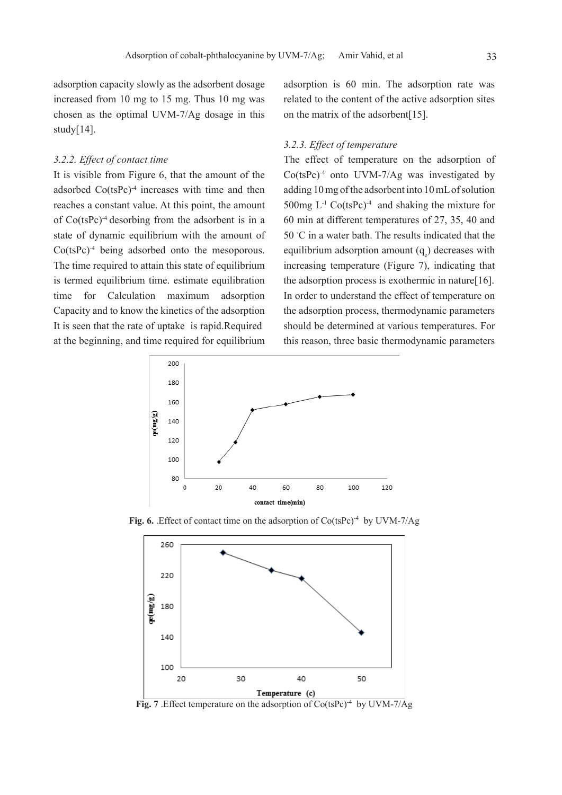adsorption capacity slowly as the adsorbent dosage increased from 10 mg to 15 mg. Thus 10 mg was chosen as the optimal UVM-7/Ag dosage in this study[14].

#### *3.2.2. Effect of contact time*

It is visible from Figure 6, that the amount of the adsorbed  $Co(tsPc)^{-4}$  increases with time and then reaches a constant value. At this point, the amount of Co(tsPc)-4 desorbing from the adsorbent is in a state of dynamic equilibrium with the amount of Co(tsPc)-4 being adsorbed onto the mesoporous. The time required to attain this state of equilibrium is termed equilibrium time. estimate equilibration time for Calculation maximum adsorption Capacity and to know the kinetics of the adsorption It is seen that the rate of uptake is rapid.Required at the beginning, and time required for equilibrium

adsorption is 60 min. The adsorption rate was related to the content of the active adsorption sites on the matrix of the adsorbent[15].

## *3.2.3. Effect of temperature*

The effect of temperature on the adsorption of Co(tsPc)-4 onto UVM-7/Ag was investigated by adding 10 mg of the adsorbent into 10 mL of solution 500mg  $L^{-1}$  Co(tsPc)<sup>-4</sup> and shaking the mixture for 60 min at different temperatures of 27, 35, 40 and 50 ℃ in a water bath. The results indicated that the equilibrium adsorption amount  $(q_e)$  decreases with increasing temperature (Figure 7), indicating that the adsorption process is exothermic in nature[16]. In order to understand the effect of temperature on the adsorption process, thermodynamic parameters should be determined at various temperatures. For this reason, three basic thermodynamic parameters



Fig. 6. Effect of contact time on the adsorption of Co(tsPc)<sup>-4</sup> by UVM-7/Ag



Fig. 7 . Effect temperature on the adsorption of Co(tsPc)<sup>-4</sup> by UVM-7/Ag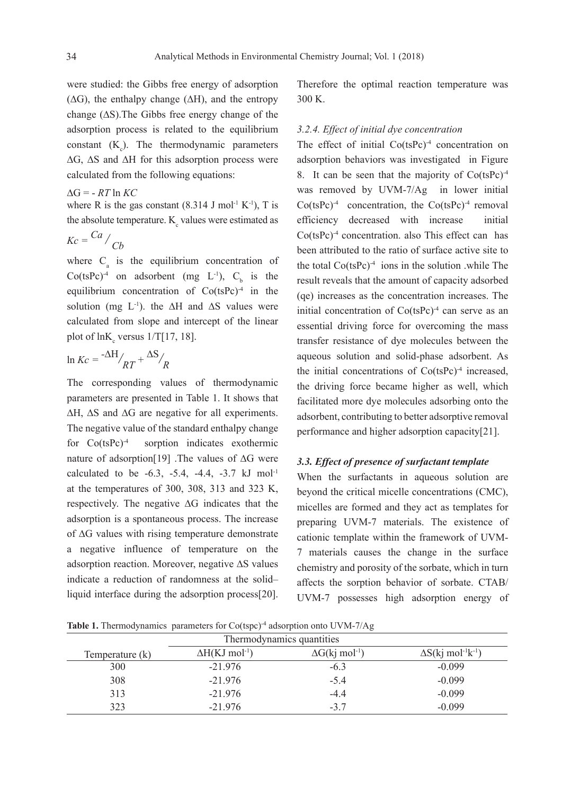were studied: the Gibbs free energy of adsorption  $(ΔG)$ , the enthalpy change  $(ΔH)$ , and the entropy change (∆S).The Gibbs free energy change of the adsorption process is related to the equilibrium constant  $(K_c)$ . The thermodynamic parameters ∆G, ∆S and ∆H for this adsorption process were calculated from the following equations:

$$
\Delta G = -RT \ln KC
$$

where R is the gas constant  $(8.314 \text{ J mol}^{-1} \text{ K}^{-1})$ , T is the absolute temperature.  $K_c$  values were estimated as

$$
Kc = \frac{Ca}{Cb}
$$

where  $C_{a}$  is the equilibrium concentration of  $Co(tsPc)^{-4}$  on adsorbent (mg L<sup>-1</sup>), C<sub>b</sub> is the equilibrium concentration of  $Co(tsPc)<sup>-4</sup>$  in the solution (mg  $L^{-1}$ ). the ∆H and ∆S values were calculated from slope and intercept of the linear plot of  $ln K_c$  versus  $1/T[17, 18]$ .

$$
\ln Kc = \frac{-\Delta H}{RT} + \frac{\Delta S}{R}
$$

The corresponding values of thermodynamic parameters are presented in Table 1. It shows that ∆H, ∆S and ∆G are negative for all experiments. The negative value of the standard enthalpy change for  $Co(tsPc)^{-4}$  sorption indicates exothermic nature of adsorption[19] .The values of ∆G were calculated to be  $-6.3$ ,  $-5.4$ ,  $-4.4$ ,  $-3.7$  kJ mol<sup>-1</sup> at the temperatures of 300, 308, 313 and 323 K, respectively. The negative ∆G indicates that the adsorption is a spontaneous process. The increase of ∆G values with rising temperature demonstrate a negative influence of temperature on the adsorption reaction. Moreover, negative ∆S values indicate a reduction of randomness at the solid– liquid interface during the adsorption process[20]. Therefore the optimal reaction temperature was 300 K.

## *3.2.4. Effect of initial dye concentration*

The effect of initial  $Co(tsPc)^4$  concentration on adsorption behaviors was investigated in Figure 8. It can be seen that the majority of  $Co(tsPc)^{-4}$ was removed by UVM-7/Ag in lower initial  $Co(tsPc)<sup>-4</sup>$  concentration, the  $Co(tsPc)<sup>-4</sup>$  removal efficiency decreased with increase initial Co(tsPc)-4 concentration. also This effect can has been attributed to the ratio of surface active site to the total  $Co(tsPc)^{-4}$  ions in the solution while The result reveals that the amount of capacity adsorbed (qe) increases as the concentration increases. The initial concentration of  $Co(tsPc)<sup>-4</sup>$  can serve as an essential driving force for overcoming the mass transfer resistance of dye molecules between the aqueous solution and solid-phase adsorbent. As the initial concentrations of  $Co(tsPc)<sup>-4</sup>$  increased, the driving force became higher as well, which facilitated more dye molecules adsorbing onto the adsorbent, contributing to better adsorptive removal performance and higher adsorption capacity[21].

#### *3.3. Effect of presence of surfactant template*

When the surfactants in aqueous solution are beyond the critical micelle concentrations (CMC), micelles are formed and they act as templates for preparing UVM-7 materials. The existence of cationic template within the framework of UVM-7 materials causes the change in the surface chemistry and porosity of the sorbate, which in turn affects the sorption behavior of sorbate. CTAB/ UVM-7 possesses high adsorption energy of

**Table 1.** Thermodynamics parameters for Co(tspc)<sup>-4</sup> adsorption onto UVM-7/Ag

| Thermodynamics quantities |                                 |                                 |                                       |  |  |  |  |  |
|---------------------------|---------------------------------|---------------------------------|---------------------------------------|--|--|--|--|--|
| Temperature (k)           | $\Delta H(KJ \text{ mol}^{-1})$ | $\Delta G(kj \text{ mol}^{-1})$ | $\Delta S(kj \text{ mol}^{-1}k^{-1})$ |  |  |  |  |  |
| 300                       | $-21.976$                       | $-6.3$                          | $-0.099$                              |  |  |  |  |  |
| 308                       | $-21.976$                       | $-5.4$                          | $-0.099$                              |  |  |  |  |  |
| 313                       | $-21.976$                       | $-4.4$                          | $-0.099$                              |  |  |  |  |  |
| 323                       | $-21.976$                       | $-3.7$                          | $-0.099$                              |  |  |  |  |  |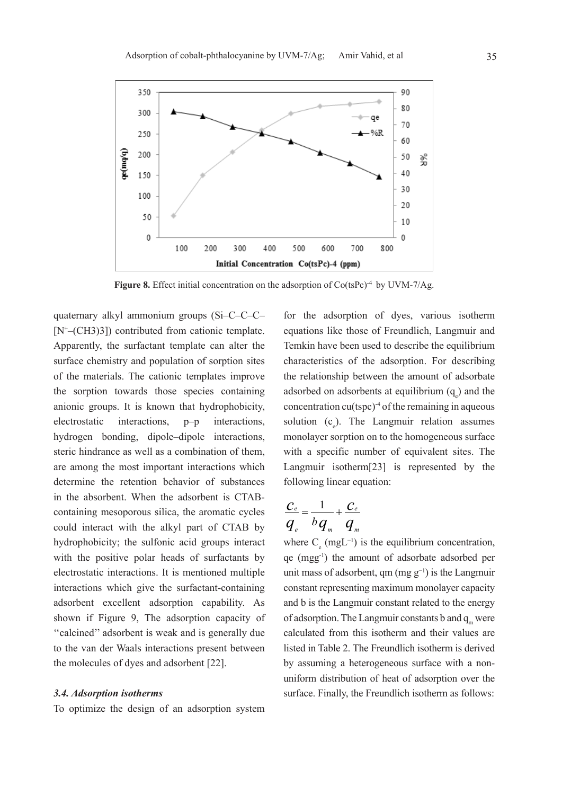

Figure 8. Effect initial concentration on the adsorption of Co(tsPc)<sup>-4</sup> by UVM-7/Ag.

quaternary alkyl ammonium groups (Si–C–C–C– [N+ –(CH3)3]) contributed from cationic template. Apparently, the surfactant template can alter the surface chemistry and population of sorption sites of the materials. The cationic templates improve the sorption towards those species containing anionic groups. It is known that hydrophobicity, electrostatic interactions, p–p interactions, hydrogen bonding, dipole–dipole interactions, steric hindrance as well as a combination of them, are among the most important interactions which determine the retention behavior of substances in the absorbent. When the adsorbent is CTABcontaining mesoporous silica, the aromatic cycles could interact with the alkyl part of CTAB by hydrophobicity; the sulfonic acid groups interact with the positive polar heads of surfactants by electrostatic interactions. It is mentioned multiple interactions which give the surfactant-containing adsorbent excellent adsorption capability. As shown if Figure 9, The adsorption capacity of ''calcined'' adsorbent is weak and is generally due to the van der Waals interactions present between the molecules of dyes and adsorbent [22].

#### *3.4. Adsorption isotherms*

To optimize the design of an adsorption system

for the adsorption of dyes, various isotherm equations like those of Freundlich, Langmuir and Temkin have been used to describe the equilibrium characteristics of the adsorption. For describing the relationship between the amount of adsorbate adsorbed on adsorbents at equilibrium  $(q_e)$  and the concentration cu(tspc)-4 of the remaining in aqueous solution  $(c_e)$ . The Langmuir relation assumes monolayer sorption on to the homogeneous surface with a specific number of equivalent sites. The Langmuir isotherm[23] is represented by the following linear equation:

$$
\frac{C_e}{q_e} = \frac{1}{b q_m} + \frac{C_e}{q_m}
$$

where  $C_e$  (mgL<sup>-1</sup>) is the equilibrium concentration, qe (mgg-1 ) the amount of adsorbate adsorbed per unit mass of adsorbent, qm  $(mg g^{-1})$  is the Langmuir constant representing maximum monolayer capacity and b is the Langmuir constant related to the energy of adsorption. The Langmuir constants b and  $q_m$  were calculated from this isotherm and their values are listed in Table 2. The Freundlich isotherm is derived by assuming a heterogeneous surface with a nonuniform distribution of heat of adsorption over the surface. Finally, the Freundlich isotherm as follows: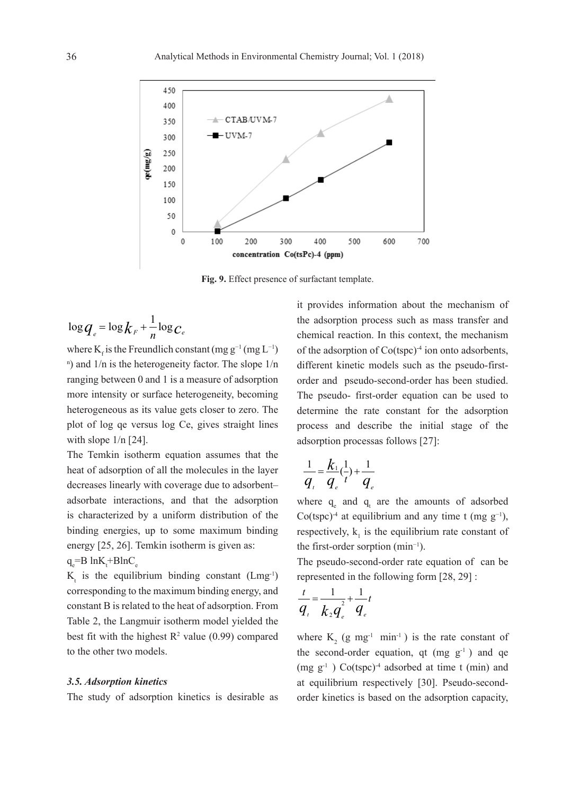

**Fig. 9.** Effect presence of surfactant template.

$$
\log q_e = \log k_F + \frac{1}{n} \log c_e
$$

where  $K_f$  is the Freundlich constant (mg g<sup>-1</sup> (mg L<sup>-1</sup>) n ) and 1/n is the heterogeneity factor. The slope 1/n ranging between 0 and 1 is a measure of adsorption more intensity or surface heterogeneity, becoming heterogeneous as its value gets closer to zero. The plot of log qe versus log Ce, gives straight lines with slope  $1/n$  [24].

The Temkin isotherm equation assumes that the heat of adsorption of all the molecules in the layer decreases linearly with coverage due to adsorbent– adsorbate interactions, and that the adsorption is characterized by a uniform distribution of the binding energies, up to some maximum binding energy [25, 26]. Temkin isotherm is given as:  $q_e = B \ln K_t + B \ln C_e$ 

 $K_t$  is the equilibrium binding constant (Lmg<sup>-1</sup>) corresponding to the maximum binding energy, and constant B is related to the heat of adsorption. From Table 2, the Langmuir isotherm model yielded the best fit with the highest  $R^2$  value (0.99) compared to the other two models.

#### *3.5. Adsorption kinetics*

The study of adsorption kinetics is desirable as

it provides information about the mechanism of the adsorption process such as mass transfer and chemical reaction. In this context, the mechanism of the adsorption of Co(tspc)-4 ion onto adsorbents, different kinetic models such as the pseudo-firstorder and pseudo-second-order has been studied. The pseudo- first-order equation can be used to determine the rate constant for the adsorption process and describe the initial stage of the adsorption processas follows [27]:

$$
\frac{1}{q_i} = \frac{k_1}{q_i} (\frac{1}{t}) + \frac{1}{q_e}
$$

where  $q_e$  and  $q_t$  are the amounts of adsorbed Co(tspc)<sup>-4</sup> at equilibrium and any time t (mg  $g^{-1}$ ), respectively,  $k_1$  is the equilibrium rate constant of the first-order sorption (min<sup>−</sup><sup>1</sup> ).

The pseudo-second-order rate equation of can be represented in the following form [28, 29] :

$$
\frac{t}{q_{\iota}} = \frac{1}{k_2 q_{\iota}} + \frac{1}{q_{\iota}}
$$

where  $K_2$  (g mg<sup>-1</sup> min<sup>-1</sup>) is the rate constant of the second-order equation, qt  $(mg g^{-1})$  and qe  $(mg g<sup>-1</sup>)$  Co(tspc)<sup>-4</sup> adsorbed at time t (min) and at equilibrium respectively [30]. Pseudo-secondorder kinetics is based on the adsorption capacity,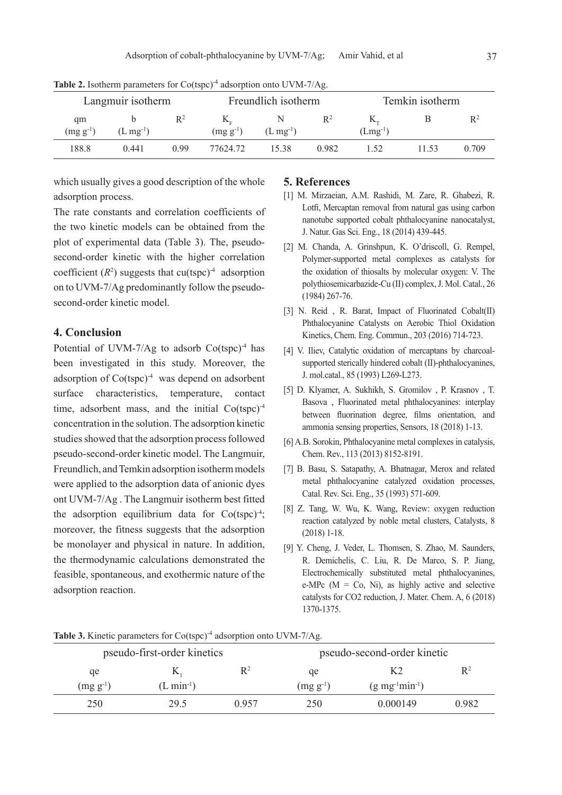| Langmuir isotherm |               | Freundlich isotherm |               | Temkin isotherm |       |                           |  |                |
|-------------------|---------------|---------------------|---------------|-----------------|-------|---------------------------|--|----------------|
| qm                |               | $R^2$               |               |                 | $R^2$ | $\mathbf{N}_{\mathrm{m}}$ |  | $\mathbb{R}^2$ |
| $(mg g^{-1})$     | $(L mg^{-1})$ |                     | $(mg g^{-1})$ | $(L mg^{-1})$   |       | $(Lmg^{-1})$              |  |                |
| 188.8             | 0.441         | 0.99                | 77624 72      | 1538            | 0.982 | 52                        |  | 0.709          |

Table 2. Isotherm parameters for Co(tspc)<sup>-4</sup> adsorption onto UVM-7/Ag.

which usually gives a good description of the whole adsorption process.

The rate constants and correlation coefficients of the two kinetic models can be obtained from the plot of experimental data (Table 3). The, pseudosecond-order kinetic with the higher correlation coefficient  $(R^2)$  suggests that cu(tspc)<sup>-4</sup> adsorption on to UVM-7/Ag predominantly follow the pseudosecond-order kinetic model.

## **4. Conclusion**

Potential of UVM-7/Ag to adsorb  $Co(tspc)<sup>-4</sup>$  has been investigated in this study. Moreover, the adsorption of  $Co(tspc)^4$  was depend on adsorbent surface characteristics, temperature, contact time, adsorbent mass, and the initial Co(tspc)<sup>-4</sup> concentration in the solution. The adsorption kinetic studies showed that the adsorption process followed pseudo-second-order kinetic model. The Langmuir, Freundlich, and Temkin adsorption isotherm models were applied to the adsorption data of anionic dyes ont UVM-7/Ag . The Langmuir isotherm best fitted the adsorption equilibrium data for Co(tspc)-4 ; moreover, the fitness suggests that the adsorption be monolayer and physical in nature. In addition, the thermodynamic calculations demonstrated the feasible, spontaneous, and exothermic nature of the adsorption reaction.

#### **5. References**

- [1] M. Mirzaeian, A.M. Rashidi, M. Zare, R. Ghabezi, R. Lotfi, Mercaptan removal from natural gas using carbon nanotube supported cobalt phthalocyanine nanocatalyst, J. Natur. Gas Sci. Eng., 18 (2014) 439-445.
- [2] M. Chanda, A. Grinshpun, K. O'driscoll, G. Rempel, Polymer-supported metal complexes as catalysts for the oxidation of thiosalts by molecular oxygen: V. The polythiosemicarbazide-Cu (II) complex, J. Mol. Catal., 26 (1984) 267-76.
- [3] N. Reid, R. Barat, Impact of Fluorinated Cobalt(II) Phthalocyanine Catalysts on Aerobic Thiol Oxidation Kinetics, Chem. Eng. Commun., 203 (2016) 714-723.
- [4] V. Iliev, Catalytic oxidation of mercaptans by charcoalsupported sterically hindered cobalt (II)-phthalocyanines, J. mol.catal., 85 (1993) L269-L273.
- [5] D. Klyamer, A. Sukhikh, S. Gromilov , P. Krasnov , T. Basova , Fluorinated metal phthalocyanines: interplay between fluorination degree, films orientation, and ammonia sensing properties, Sensors, 18 (2018) 1-13.
- [6] A.B. Sorokin, Phthalocyanine metal complexes in catalysis, Chem. Rev., 113 (2013) 8152-8191.
- [7] B. Basu, S. Satapathy, A. Bhatnagar, Merox and related metal phthalocyanine catalyzed oxidation processes, Catal. Rev. Sci. Eng., 35 (1993) 571-609.
- [8] Z. Tang, W. Wu, K. Wang, Review: oxygen reduction reaction catalyzed by noble metal clusters, Catalysts, 8 (2018) 1-18.
- [9] Y. Cheng, J. Veder, L. Thomsen, S. Zhao, M. Saunders, R. Demichelis, C. Liu, R. De Marco, S. P. Jiang, Electrochemically substituted metal phthalocyanines, e-MPc  $(M = Co, Ni)$ , as highly active and selective catalysts for CO2 reduction, J. Mater. Chem. A, 6 (2018) 1370-1375.

| pseudo-first-order kinetics |                 |       | pseudo-second-order kinetic |                                  |       |
|-----------------------------|-----------------|-------|-----------------------------|----------------------------------|-------|
| qe                          | V,              | $R^2$ | qe                          | K2                               | $R^2$ |
| $(mg g^{-1})$               | $(L \min^{-1})$ |       | $(mg g^{-1})$               | $(g \, mg^{-1} \text{min}^{-1})$ |       |
| 250                         | 29.5            | 0.957 | 250                         | 0.000149                         | 0.982 |

**Table 3.** Kinetic parameters for Co(tspc)<sup>-4</sup> adsorption onto UVM-7/Ag.